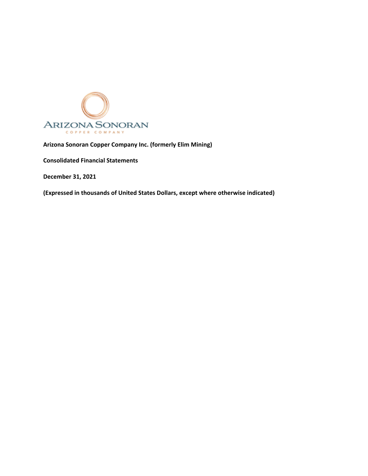

**Arizona Sonoran Copper Company Inc. (formerly Elim Mining)** 

**Consolidated Financial Statements** 

**December 31, 2021** 

**(Expressed in thousands of United States Dollars, except where otherwise indicated)**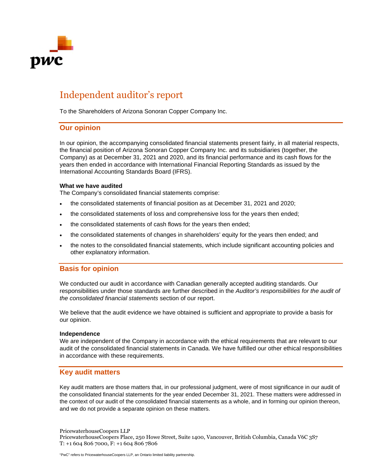

# Independent auditor's report

To the Shareholders of Arizona Sonoran Copper Company Inc.

# **Our opinion**

In our opinion, the accompanying consolidated financial statements present fairly, in all material respects, the financial position of Arizona Sonoran Copper Company Inc. and its subsidiaries (together, the Company) as at December 31, 2021 and 2020, and its financial performance and its cash flows for the years then ended in accordance with International Financial Reporting Standards as issued by the International Accounting Standards Board (IFRS).

#### **What we have audited**

The Company's consolidated financial statements comprise:

- the consolidated statements of financial position as at December 31, 2021 and 2020;
- the consolidated statements of loss and comprehensive loss for the years then ended;
- the consolidated statements of cash flows for the years then ended;
- the consolidated statements of changes in shareholders' equity for the years then ended; and
- the notes to the consolidated financial statements, which include significant accounting policies and other explanatory information.

### **Basis for opinion**

We conducted our audit in accordance with Canadian generally accepted auditing standards. Our responsibilities under those standards are further described in the *Auditor's responsibilities for the audit of the consolidated financial statements* section of our report.

We believe that the audit evidence we have obtained is sufficient and appropriate to provide a basis for our opinion.

#### **Independence**

We are independent of the Company in accordance with the ethical requirements that are relevant to our audit of the consolidated financial statements in Canada. We have fulfilled our other ethical responsibilities in accordance with these requirements.

# **Key audit matters**

Key audit matters are those matters that, in our professional judgment, were of most significance in our audit of the consolidated financial statements for the year ended December 31, 2021. These matters were addressed in the context of our audit of the consolidated financial statements as a whole, and in forming our opinion thereon, and we do not provide a separate opinion on these matters.

PricewaterhouseCoopers LLP

PricewaterhouseCoopers Place, 250 Howe Street, Suite 1400, Vancouver, British Columbia, Canada V6C 3S7 T: +1 604 806 7000, F: +1 604 806 7806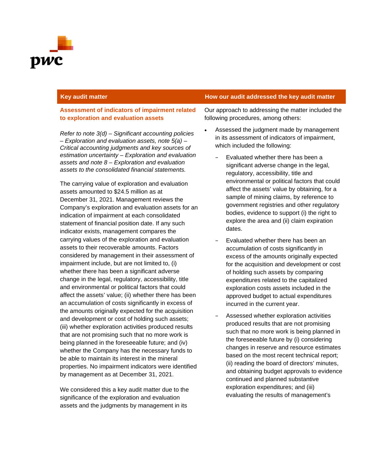

#### **Assessment of indicators of impairment related to exploration and evaluation assets**

*Refer to note 3(d)* – *Significant accounting policies*  – *Exploration and evaluation assets, note 5(a)* – *Critical accounting judgments and key sources of estimation uncertainty* – *Exploration and evaluation assets and note 8* – *Exploration and evaluation assets to the consolidated financial statements.* 

The carrying value of exploration and evaluation assets amounted to \$24.5 million as at December 31, 2021. Management reviews the Company's exploration and evaluation assets for an indication of impairment at each consolidated statement of financial position date. If any such indicator exists, management compares the carrying values of the exploration and evaluation assets to their recoverable amounts. Factors considered by management in their assessment of impairment include, but are not limited to, (i) whether there has been a significant adverse change in the legal, regulatory, accessibility, title and environmental or political factors that could affect the assets' value; (ii) whether there has been an accumulation of costs significantly in excess of the amounts originally expected for the acquisition and development or cost of holding such assets; (iii) whether exploration activities produced results that are not promising such that no more work is being planned in the foreseeable future; and (iv) whether the Company has the necessary funds to be able to maintain its interest in the mineral properties. No impairment indicators were identified by management as at December 31, 2021.

We considered this a key audit matter due to the significance of the exploration and evaluation assets and the judgments by management in its

#### **Key audit matter How our audit addressed the key audit matter**

Our approach to addressing the matter included the following procedures, among others:

- Assessed the judgment made by management in its assessment of indicators of impairment, which included the following:
	- Evaluated whether there has been a significant adverse change in the legal, regulatory, accessibility, title and environmental or political factors that could affect the assets' value by obtaining, for a sample of mining claims, by reference to government registries and other regulatory bodies, evidence to support (i) the right to explore the area and (ii) claim expiration dates.
	- Evaluated whether there has been an accumulation of costs significantly in excess of the amounts originally expected for the acquisition and development or cost of holding such assets by comparing expenditures related to the capitalized exploration costs assets included in the approved budget to actual expenditures incurred in the current year.
	- − Assessed whether exploration activities produced results that are not promising such that no more work is being planned in the foreseeable future by (i) considering changes in reserve and resource estimates based on the most recent technical report; (ii) reading the board of directors' minutes, and obtaining budget approvals to evidence continued and planned substantive exploration expenditures; and (iii) evaluating the results of management's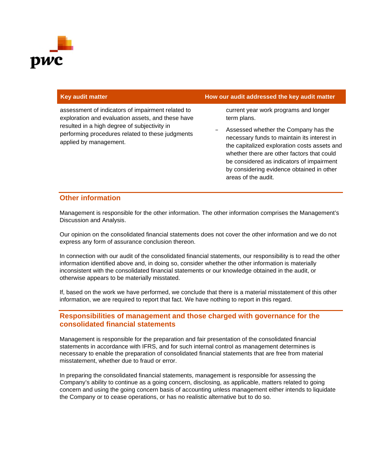

| <b>Key audit matter</b>                           | How our audit addressed the key audit matter |
|---------------------------------------------------|----------------------------------------------|
| assessment of indicators of impairment related to | current year work programs and longer        |

exploration and evaluation assets, and these have resulted in a high degree of subjectivity in performing procedures related to these judgments applied by management.

term plans.

− Assessed whether the Company has the necessary funds to maintain its interest in the capitalized exploration costs assets and whether there are other factors that could be considered as indicators of impairment by considering evidence obtained in other areas of the audit.

# **Other information**

Management is responsible for the other information. The other information comprises the Management's Discussion and Analysis.

Our opinion on the consolidated financial statements does not cover the other information and we do not express any form of assurance conclusion thereon.

In connection with our audit of the consolidated financial statements, our responsibility is to read the other information identified above and, in doing so, consider whether the other information is materially inconsistent with the consolidated financial statements or our knowledge obtained in the audit, or otherwise appears to be materially misstated.

If, based on the work we have performed, we conclude that there is a material misstatement of this other information, we are required to report that fact. We have nothing to report in this regard.

# **Responsibilities of management and those charged with governance for the consolidated financial statements**

Management is responsible for the preparation and fair presentation of the consolidated financial statements in accordance with IFRS, and for such internal control as management determines is necessary to enable the preparation of consolidated financial statements that are free from material misstatement, whether due to fraud or error.

In preparing the consolidated financial statements, management is responsible for assessing the Company's ability to continue as a going concern, disclosing, as applicable, matters related to going concern and using the going concern basis of accounting unless management either intends to liquidate the Company or to cease operations, or has no realistic alternative but to do so.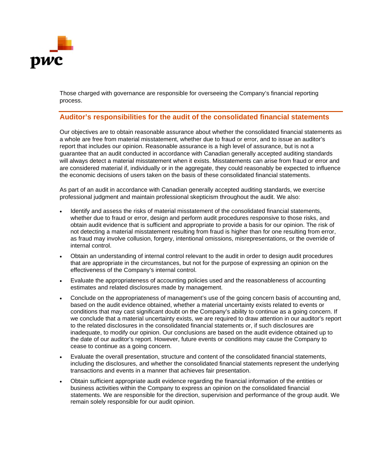

Those charged with governance are responsible for overseeing the Company's financial reporting process.

# **Auditor's responsibilities for the audit of the consolidated financial statements**

Our objectives are to obtain reasonable assurance about whether the consolidated financial statements as a whole are free from material misstatement, whether due to fraud or error, and to issue an auditor's report that includes our opinion. Reasonable assurance is a high level of assurance, but is not a guarantee that an audit conducted in accordance with Canadian generally accepted auditing standards will always detect a material misstatement when it exists. Misstatements can arise from fraud or error and are considered material if, individually or in the aggregate, they could reasonably be expected to influence the economic decisions of users taken on the basis of these consolidated financial statements.

As part of an audit in accordance with Canadian generally accepted auditing standards, we exercise professional judgment and maintain professional skepticism throughout the audit. We also:

- Identify and assess the risks of material misstatement of the consolidated financial statements, whether due to fraud or error, design and perform audit procedures responsive to those risks, and obtain audit evidence that is sufficient and appropriate to provide a basis for our opinion. The risk of not detecting a material misstatement resulting from fraud is higher than for one resulting from error, as fraud may involve collusion, forgery, intentional omissions, misrepresentations, or the override of internal control.
- Obtain an understanding of internal control relevant to the audit in order to design audit procedures that are appropriate in the circumstances, but not for the purpose of expressing an opinion on the effectiveness of the Company's internal control.
- Evaluate the appropriateness of accounting policies used and the reasonableness of accounting estimates and related disclosures made by management.
- Conclude on the appropriateness of management's use of the going concern basis of accounting and, based on the audit evidence obtained, whether a material uncertainty exists related to events or conditions that may cast significant doubt on the Company's ability to continue as a going concern. If we conclude that a material uncertainty exists, we are required to draw attention in our auditor's report to the related disclosures in the consolidated financial statements or, if such disclosures are inadequate, to modify our opinion. Our conclusions are based on the audit evidence obtained up to the date of our auditor's report. However, future events or conditions may cause the Company to cease to continue as a going concern.
- Evaluate the overall presentation, structure and content of the consolidated financial statements, including the disclosures, and whether the consolidated financial statements represent the underlying transactions and events in a manner that achieves fair presentation.
- Obtain sufficient appropriate audit evidence regarding the financial information of the entities or business activities within the Company to express an opinion on the consolidated financial statements. We are responsible for the direction, supervision and performance of the group audit. We remain solely responsible for our audit opinion.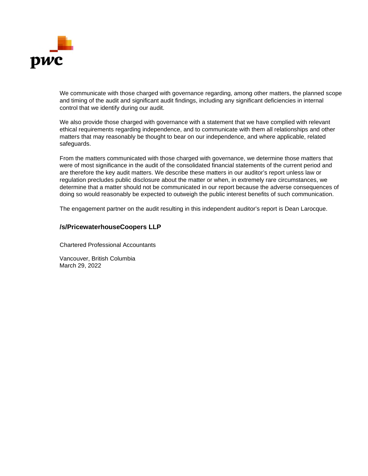

We communicate with those charged with governance regarding, among other matters, the planned scope and timing of the audit and significant audit findings, including any significant deficiencies in internal control that we identify during our audit.

We also provide those charged with governance with a statement that we have complied with relevant ethical requirements regarding independence, and to communicate with them all relationships and other matters that may reasonably be thought to bear on our independence, and where applicable, related safeguards.

From the matters communicated with those charged with governance, we determine those matters that were of most significance in the audit of the consolidated financial statements of the current period and are therefore the key audit matters. We describe these matters in our auditor's report unless law or regulation precludes public disclosure about the matter or when, in extremely rare circumstances, we determine that a matter should not be communicated in our report because the adverse consequences of doing so would reasonably be expected to outweigh the public interest benefits of such communication.

The engagement partner on the audit resulting in this independent auditor's report is Dean Larocque.

# **/s/PricewaterhouseCoopers LLP**

Chartered Professional Accountants

Vancouver, British Columbia March 29, 2022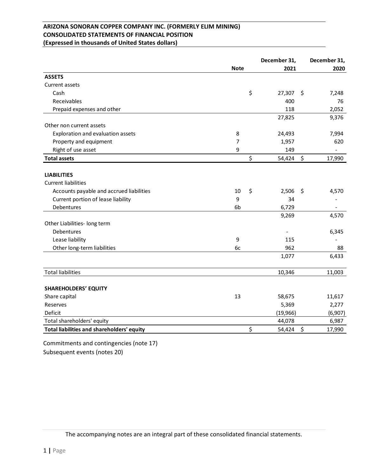# **ARIZONA SONORAN COPPER COMPANY INC. (FORMERLY ELIM MINING) CONSOLIDATED STATEMENTS OF FINANCIAL POSITION (Expressed in thousands of United States dollars)**

|                                            |             | December 31,             |         | December 31,             |
|--------------------------------------------|-------------|--------------------------|---------|--------------------------|
|                                            | <b>Note</b> | 2021                     |         | 2020                     |
| <b>ASSETS</b>                              |             |                          |         |                          |
| Current assets                             |             |                          |         |                          |
| Cash                                       |             | \$<br>27,307             | \$      | 7,248                    |
| Receivables                                |             | 400                      |         | 76                       |
| Prepaid expenses and other                 |             | 118                      |         | 2,052                    |
|                                            |             | 27,825                   |         | 9,376                    |
| Other non current assets                   |             |                          |         |                          |
| Exploration and evaluation assets          | 8           | 24,493                   |         | 7,994                    |
| Property and equipment                     | 7           | 1,957                    |         | 620                      |
| Right of use asset                         | 9           | 149                      |         | $\overline{\phantom{a}}$ |
| <b>Total assets</b>                        |             | \$<br>54,424             | $\zeta$ | 17,990                   |
|                                            |             |                          |         |                          |
| <b>LIABILITIES</b>                         |             |                          |         |                          |
| <b>Current liabilities</b>                 |             |                          |         |                          |
| Accounts payable and accrued liabilities   | 10          | \$<br>2,506              | \$      | 4,570                    |
| Current portion of lease liability         | 9           | 34                       |         |                          |
| Debentures                                 | 6b          | 6,729                    |         |                          |
|                                            |             | 9,269                    |         | 4,570                    |
| Other Liabilities- long term               |             |                          |         |                          |
| Debentures                                 |             | $\overline{\phantom{a}}$ |         | 6,345                    |
| Lease liability                            | 9           | 115                      |         |                          |
| Other long-term liabilities                | 6c          | 962                      |         | 88                       |
|                                            |             | 1,077                    |         | 6,433                    |
|                                            |             |                          |         |                          |
| <b>Total liabilities</b>                   |             | 10,346                   |         | 11,003                   |
|                                            |             |                          |         |                          |
| <b>SHAREHOLDERS' EQUITY</b>                |             |                          |         |                          |
| Share capital                              | 13          | 58,675                   |         | 11,617                   |
| Reserves                                   |             | 5,369                    |         | 2,277                    |
| Deficit                                    |             | (19, 966)                |         | (6,907)                  |
| Total shareholders' equity                 |             | 44,078                   |         | 6,987                    |
| Total liabilities and shareholders' equity |             | \$<br>54,424             | \$      | 17,990                   |

Commitments and contingencies (note 17) Subsequent events (notes 20)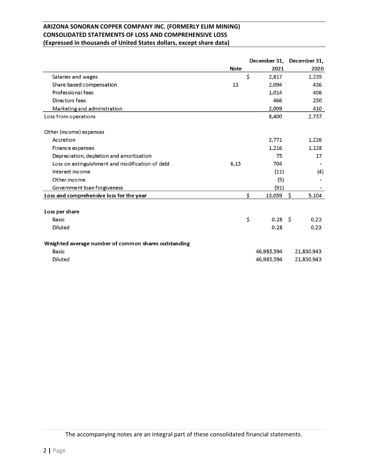# **ARIZONA SONORAN COPPER COMPANY INC. (FORMERLY ELIM MINING) CONSOLIDATED STATEMENTS OF LOSS AND COMPREHENSIVE LOSS (Expressed in thousands of United States dollars, except share data)**

|                                                      |             | December 31, | December 31, |
|------------------------------------------------------|-------------|--------------|--------------|
|                                                      | <b>Note</b> | 2021         | 2020         |
| Salaries and wages                                   |             | \$<br>2,817  | 1,235        |
| Share based compensation                             | 13          | 2.094        | 436          |
| Professional fees                                    |             | 1,014        | 406          |
| Directors fees                                       |             | 466          | 250          |
| Marketing and adminstration                          |             | 2,009        | 410          |
| Loss from operations                                 |             | 8,400        | 2,737        |
| Other (income) expenses                              |             |              |              |
| Accretion                                            |             | 2,771        | 1,226        |
| Finance expenses                                     |             | 1,216        | 1,128        |
| Depreciation, depletion and amortization             |             | 75           | 17           |
| Loss on extinguishment and modification of debt      | 6,13        | 704          |              |
| Interest income                                      |             | (11)         | (4)          |
| Other income                                         |             | (5)          |              |
| Government loan forgiveness                          |             | (91)         |              |
| Loss and comprehensive loss for the year             |             | \$<br>13,059 | \$<br>5,104  |
| Loss per share                                       |             |              |              |
| <b>Basic</b>                                         |             | \$<br>0.28   | 0.23<br>Ś    |
| Diluted                                              |             | 0.28         | 0.23         |
| Weighted average number of common shares outstanding |             |              |              |
| <b>Basic</b>                                         |             | 46,985,594   | 21,830,943   |
| Diluted                                              |             | 46,985,594   | 21,830,943   |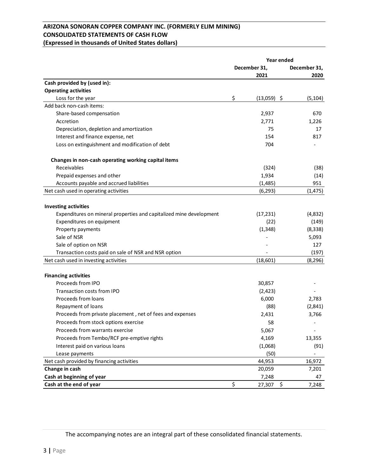# **ARIZONA SONORAN COPPER COMPANY INC. (FORMERLY ELIM MINING) CONSOLIDATED STATEMENTS OF CASH FLOW (Expressed in thousands of United States dollars)**

|                                                                     |              | Year ended    |              |  |
|---------------------------------------------------------------------|--------------|---------------|--------------|--|
|                                                                     | December 31, |               | December 31, |  |
|                                                                     |              | 2021          | 2020         |  |
| Cash provided by (used in):                                         |              |               |              |  |
| <b>Operating activities</b>                                         |              |               |              |  |
| Loss for the year                                                   | \$           | $(13,059)$ \$ | (5, 104)     |  |
| Add back non-cash items:                                            |              |               |              |  |
| Share-based compensation                                            |              | 2,937         | 670          |  |
| Accretion                                                           |              | 2,771         | 1,226        |  |
| Depreciation, depletion and amortization                            |              | 75            | 17           |  |
| Interest and finance expense, net                                   |              | 154           | 817          |  |
| Loss on extinguishment and modification of debt                     |              | 704           |              |  |
| Changes in non-cash operating working capital items                 |              |               |              |  |
| Receivables                                                         |              | (324)         | (38)         |  |
| Prepaid expenses and other                                          |              | 1,934         | (14)         |  |
| Accounts payable and accrued liabilities                            |              | (1,485)       | 951          |  |
| Net cash used in operating activities                               |              | (6, 293)      | (1, 475)     |  |
| <b>Investing activities</b>                                         |              |               |              |  |
| Expenditures on mineral properties and capitalized mine development |              | (17, 231)     | (4,832)      |  |
| Expenditures on equipment                                           |              | (22)          | (149)        |  |
| Property payments                                                   |              | (1, 348)      | (8, 338)     |  |
| Sale of NSR                                                         |              |               | 5,093        |  |
| Sale of option on NSR                                               |              |               | 127          |  |
| Transaction costs paid on sale of NSR and NSR option                |              |               | (197)        |  |
| Net cash used in investing activities                               |              | (18,601)      | (8, 296)     |  |
| <b>Financing activities</b>                                         |              |               |              |  |
| Proceeds from IPO                                                   |              | 30,857        |              |  |
| Transaction costs from IPO                                          |              | (2,423)       |              |  |
| Proceeds from loans                                                 |              | 6,000         | 2,783        |  |
| Repayment of loans                                                  |              | (88)          | (2,841)      |  |
| Proceeds from private placement, net of fees and expenses           |              | 2,431         | 3,766        |  |
| Proceeds from stock options exercise                                |              | 58            |              |  |
| Proceeds from warrants exercise                                     |              | 5,067         |              |  |
| Proceeds from Tembo/RCF pre-emptive rights                          |              | 4,169         | 13,355       |  |
| Interest paid on various loans                                      |              | (1,068)       | (91)         |  |
| Lease payments                                                      |              | (50)          |              |  |
| Net cash provided by financing activities                           |              | 44,953        | 16,972       |  |
| Change in cash                                                      |              | 20,059        | 7,201        |  |
| Cash at beginning of year                                           |              | 7,248         | 47           |  |
| Cash at the end of year                                             | \$           | \$<br>27,307  | 7,248        |  |

The accompanying notes are an integral part of these consolidated financial statements.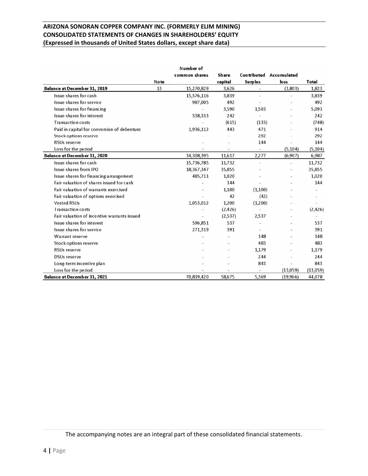# **ARIZONA SONORAN COPPER COMPANY INC. (FORMERLY ELIM MINING) CONSOLIDATED STATEMENTS OF CHANGES IN SHAREHOLDERS' EQUITY (Expressed in thousands of United States dollars, except share data)**

|                                             |      | Number of      |                          |                          |                                |                          |
|---------------------------------------------|------|----------------|--------------------------|--------------------------|--------------------------------|--------------------------|
|                                             |      | common shares  | <b>Share</b>             |                          | <b>Contributed Accumulated</b> |                          |
|                                             | Note |                | capital                  | <b>Surplus</b>           | loss                           | <b>Total</b>             |
| <b>Balance at December 31, 2019</b>         | 13   | 15,270,829     | 3,626                    |                          | (1,803)                        | 1,823                    |
| Issue shares for cash                       |      | 15,576,116     | 3,839                    | $\overline{\phantom{0}}$ |                                | 3,839                    |
| Issue shares for service                    |      | 987,005        | 492                      |                          |                                | 492                      |
| Issue shares for financing                  |      |                | 3,590                    | 1,503                    |                                | 5,093                    |
| Issue shares for interest                   |      | 538,333        | 242                      |                          |                                | 242                      |
| <b>Transaction costs</b>                    |      |                | (615)                    | (133)                    |                                | (748)                    |
| Paid in capital for conversion of debenture |      | 1,936,112      | 443                      | 471                      |                                | 914                      |
| Stock options reserve                       |      |                |                          | 292                      |                                | 292                      |
| <b>RSUs reserve</b>                         |      |                |                          | 144                      |                                | 144                      |
| Loss for the period                         |      |                |                          | $\overline{\phantom{0}}$ | (5, 104)                       | (5, 104)                 |
| <b>Balance at December 31, 2020</b>         |      | 34,308,395     | 11,617                   | 2,277                    | (6,907)                        | 6,987                    |
| Issue shares for cash                       |      | 15,736,785     | 11,732                   | L,                       | $\overline{\phantom{a}}$       | 11,732                   |
| Issue shares from IPO                       |      | 18,367,347     | 35,855                   |                          |                                | 35,855                   |
| Issue shares for financing arrangement      |      | 485,711        | 1,020                    |                          |                                | 1,020                    |
| Fair valuation of shares issued for cash    |      |                | 144                      |                          |                                | 144                      |
| Fair valuation of warrants exercised        |      |                | 1.100                    | (1,100)                  |                                |                          |
| Fair valuation of options exercised         |      | ÷,             | 42                       | (42)                     |                                |                          |
| <b>Vested RSUs</b>                          |      | 1,053,012      | 1,200                    | (1,200)                  |                                | $\overline{\phantom{a}}$ |
| <b>Transaction costs</b>                    |      |                | (2,426)                  | ÷,                       |                                | (2,426)                  |
| Fair valuation of incentive warrants issued |      | $\overline{a}$ | (2,537)                  | 2,537                    |                                | $\overline{a}$           |
| Issue shares for interest                   |      | 596,851        | 537                      |                          |                                | 537                      |
| Issue shares for service                    |      | 271,319        | 391                      |                          |                                | 391                      |
| Warrant reserve                             |      |                | $\overline{\phantom{a}}$ | 148                      |                                | 148                      |
| Stock options reserve                       |      |                |                          | 483                      |                                | 483                      |
| <b>RSUs reserve</b>                         |      |                |                          | 1,179                    |                                | 1,179                    |
| <b>DSUs reserve</b>                         |      |                |                          | 244                      |                                | 244                      |
| Long-term incentive plan                    |      |                |                          | 843                      |                                | 843                      |
| Loss for the period                         |      |                |                          |                          | (13,059)                       | (13,059)                 |
| <b>Balance at December 31, 2021</b>         |      | 70,819,420     | 58,675                   | 5,369                    | (19,966)                       | 44,078                   |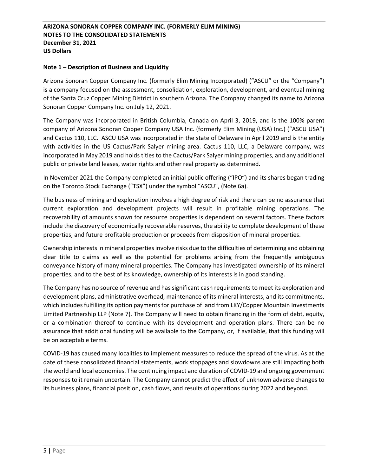#### **Note 1 – Description of Business and Liquidity**

Arizona Sonoran Copper Company Inc. (formerly Elim Mining Incorporated) ("ASCU" or the "Company") is a company focused on the assessment, consolidation, exploration, development, and eventual mining of the Santa Cruz Copper Mining District in southern Arizona. The Company changed its name to Arizona Sonoran Copper Company Inc. on July 12, 2021.

The Company was incorporated in British Columbia, Canada on April 3, 2019, and is the 100% parent company of Arizona Sonoran Copper Company USA Inc. (formerly Elim Mining (USA) Inc.) ("ASCU USA") and Cactus 110, LLC. ASCU USA was incorporated in the state of Delaware in April 2019 and is the entity with activities in the US Cactus/Park Salyer mining area. Cactus 110, LLC, a Delaware company, was incorporated in May 2019 and holds titles to the Cactus/Park Salyer mining properties, and any additional public or private land leases, water rights and other real property as determined.

In November 2021 the Company completed an initial public offering ("IPO") and its shares began trading on the Toronto Stock Exchange ("TSX") under the symbol "ASCU", (Note 6a).

The business of mining and exploration involves a high degree of risk and there can be no assurance that current exploration and development projects will result in profitable mining operations. The recoverability of amounts shown for resource properties is dependent on several factors. These factors include the discovery of economically recoverable reserves, the ability to complete development of these properties, and future profitable production or proceeds from disposition of mineral properties.

Ownership interests in mineral properties involve risks due to the difficulties of determining and obtaining clear title to claims as well as the potential for problems arising from the frequently ambiguous conveyance history of many mineral properties. The Company has investigated ownership of its mineral properties, and to the best of its knowledge, ownership of its interests is in good standing.

The Company has no source of revenue and has significant cash requirements to meet its exploration and development plans, administrative overhead, maintenance of its mineral interests, and its commitments, which includes fulfilling its option payments for purchase of land from LKY/Copper Mountain Investments Limited Partnership LLP (Note 7). The Company will need to obtain financing in the form of debt, equity, or a combination thereof to continue with its development and operation plans. There can be no assurance that additional funding will be available to the Company, or, if available, that this funding will be on acceptable terms.

COVID-19 has caused many localities to implement measures to reduce the spread of the virus. As at the date of these consolidated financial statements, work stoppages and slowdowns are still impacting both the world and local economies. The continuing impact and duration of COVID-19 and ongoing government responses to it remain uncertain. The Company cannot predict the effect of unknown adverse changes to its business plans, financial position, cash flows, and results of operations during 2022 and beyond.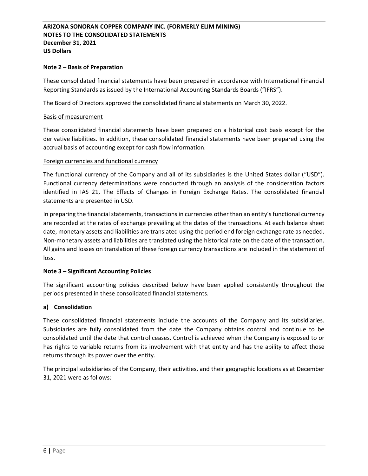#### **Note 2 – Basis of Preparation**

These consolidated financial statements have been prepared in accordance with International Financial Reporting Standards as issued by the International Accounting Standards Boards ("IFRS").

The Board of Directors approved the consolidated financial statements on March 30, 2022.

#### Basis of measurement

These consolidated financial statements have been prepared on a historical cost basis except for the derivative liabilities. In addition, these consolidated financial statements have been prepared using the accrual basis of accounting except for cash flow information.

#### Foreign currencies and functional currency

The functional currency of the Company and all of its subsidiaries is the United States dollar ("USD"). Functional currency determinations were conducted through an analysis of the consideration factors identified in IAS 21, The Effects of Changes in Foreign Exchange Rates. The consolidated financial statements are presented in USD.

In preparing the financial statements, transactions in currencies other than an entity's functional currency are recorded at the rates of exchange prevailing at the dates of the transactions. At each balance sheet date, monetary assets and liabilities are translated using the period end foreign exchange rate as needed. Non-monetary assets and liabilities are translated using the historical rate on the date of the transaction. All gains and losses on translation of these foreign currency transactions are included in the statement of loss.

### **Note 3 – Significant Accounting Policies**

The significant accounting policies described below have been applied consistently throughout the periods presented in these consolidated financial statements.

### **a) Consolidation**

These consolidated financial statements include the accounts of the Company and its subsidiaries. Subsidiaries are fully consolidated from the date the Company obtains control and continue to be consolidated until the date that control ceases. Control is achieved when the Company is exposed to or has rights to variable returns from its involvement with that entity and has the ability to affect those returns through its power over the entity.

The principal subsidiaries of the Company, their activities, and their geographic locations as at December 31, 2021 were as follows: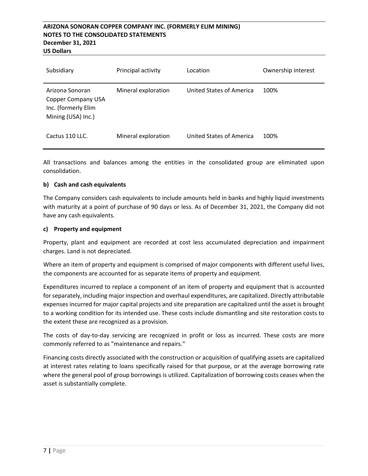# **ARIZONA SONORAN COPPER COMPANY INC. (FORMERLY ELIM MINING) NOTES TO THE CONSOLIDATED STATEMENTS December 31, 2021 US Dollars**

| Subsidiary                                                                         | Principal activity  | Location                 | Ownership interest |
|------------------------------------------------------------------------------------|---------------------|--------------------------|--------------------|
| Arizona Sonoran<br>Copper Company USA<br>Inc. (formerly Elim<br>Mining (USA) Inc.) | Mineral exploration | United States of America | 100%               |
| Cactus 110 LLC.                                                                    | Mineral exploration | United States of America | 100%               |

All transactions and balances among the entities in the consolidated group are eliminated upon consolidation.

# **b) Cash and cash equivalents**

The Company considers cash equivalents to include amounts held in banks and highly liquid investments with maturity at a point of purchase of 90 days or less. As of December 31, 2021, the Company did not have any cash equivalents.

# **c) Property and equipment**

Property, plant and equipment are recorded at cost less accumulated depreciation and impairment charges. Land is not depreciated.

Where an item of property and equipment is comprised of major components with different useful lives, the components are accounted for as separate items of property and equipment.

Expenditures incurred to replace a component of an item of property and equipment that is accounted for separately, including major inspection and overhaul expenditures, are capitalized. Directly attributable expenses incurred for major capital projects and site preparation are capitalized until the asset is brought to a working condition for its intended use. These costs include dismantling and site restoration costs to the extent these are recognized as a provision.

The costs of day-to-day servicing are recognized in profit or loss as incurred. These costs are more commonly referred to as "maintenance and repairs."

Financing costs directly associated with the construction or acquisition of qualifying assets are capitalized at interest rates relating to loans specifically raised for that purpose, or at the average borrowing rate where the general pool of group borrowings is utilized. Capitalization of borrowing costs ceases when the asset is substantially complete.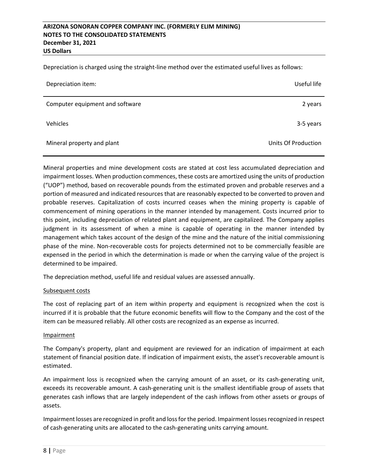Depreciation is charged using the straight-line method over the estimated useful lives as follows:

| Depreciation item:              | Useful life         |
|---------------------------------|---------------------|
| Computer equipment and software | 2 years             |
| <b>Vehicles</b>                 | 3-5 years           |
| Mineral property and plant      | Units Of Production |

Mineral properties and mine development costs are stated at cost less accumulated depreciation and impairment losses. When production commences, these costs are amortized using the units of production ("UOP") method, based on recoverable pounds from the estimated proven and probable reserves and a portion of measured and indicated resources that are reasonably expected to be converted to proven and probable reserves. Capitalization of costs incurred ceases when the mining property is capable of commencement of mining operations in the manner intended by management. Costs incurred prior to this point, including depreciation of related plant and equipment, are capitalized. The Company applies judgment in its assessment of when a mine is capable of operating in the manner intended by management which takes account of the design of the mine and the nature of the initial commissioning phase of the mine. Non-recoverable costs for projects determined not to be commercially feasible are expensed in the period in which the determination is made or when the carrying value of the project is determined to be impaired.

The depreciation method, useful life and residual values are assessed annually.

#### Subsequent costs

The cost of replacing part of an item within property and equipment is recognized when the cost is incurred if it is probable that the future economic benefits will flow to the Company and the cost of the item can be measured reliably. All other costs are recognized as an expense as incurred.

#### Impairment

The Company's property, plant and equipment are reviewed for an indication of impairment at each statement of financial position date. If indication of impairment exists, the asset's recoverable amount is estimated.

An impairment loss is recognized when the carrying amount of an asset, or its cash-generating unit, exceeds its recoverable amount. A cash-generating unit is the smallest identifiable group of assets that generates cash inflows that are largely independent of the cash inflows from other assets or groups of assets.

Impairment losses are recognized in profit and loss for the period. Impairment losses recognized in respect of cash-generating units are allocated to the cash-generating units carrying amount.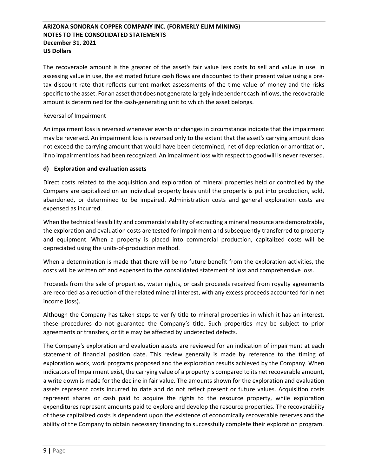The recoverable amount is the greater of the asset's fair value less costs to sell and value in use. In assessing value in use, the estimated future cash flows are discounted to their present value using a pretax discount rate that reflects current market assessments of the time value of money and the risks specific to the asset. For an asset that does not generate largely independent cash inflows, the recoverable amount is determined for the cash-generating unit to which the asset belongs.

### Reversal of Impairment

An impairment loss is reversed whenever events or changes in circumstance indicate that the impairment may be reversed. An impairment loss is reversed only to the extent that the asset's carrying amount does not exceed the carrying amount that would have been determined, net of depreciation or amortization, if no impairment loss had been recognized. An impairment loss with respect to goodwill is never reversed.

# **d) Exploration and evaluation assets**

Direct costs related to the acquisition and exploration of mineral properties held or controlled by the Company are capitalized on an individual property basis until the property is put into production, sold, abandoned, or determined to be impaired. Administration costs and general exploration costs are expensed as incurred.

When the technical feasibility and commercial viability of extracting a mineral resource are demonstrable, the exploration and evaluation costs are tested for impairment and subsequently transferred to property and equipment. When a property is placed into commercial production, capitalized costs will be depreciated using the units-of-production method.

When a determination is made that there will be no future benefit from the exploration activities, the costs will be written off and expensed to the consolidated statement of loss and comprehensive loss.

Proceeds from the sale of properties, water rights, or cash proceeds received from royalty agreements are recorded as a reduction of the related mineral interest, with any excess proceeds accounted for in net income (loss).

Although the Company has taken steps to verify title to mineral properties in which it has an interest, these procedures do not guarantee the Company's title. Such properties may be subject to prior agreements or transfers, or title may be affected by undetected defects.

The Company's exploration and evaluation assets are reviewed for an indication of impairment at each statement of financial position date. This review generally is made by reference to the timing of exploration work, work programs proposed and the exploration results achieved by the Company. When indicators of Impairment exist, the carrying value of a property is compared to its net recoverable amount, a write down is made for the decline in fair value. The amounts shown for the exploration and evaluation assets represent costs incurred to date and do not reflect present or future values. Acquisition costs represent shares or cash paid to acquire the rights to the resource property, while exploration expenditures represent amounts paid to explore and develop the resource properties. The recoverability of these capitalized costs is dependent upon the existence of economically recoverable reserves and the ability of the Company to obtain necessary financing to successfully complete their exploration program.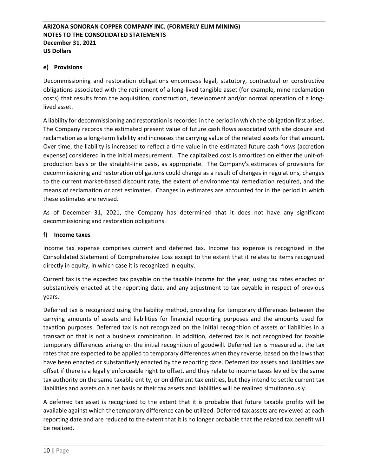#### **e) Provisions**

Decommissioning and restoration obligations encompass legal, statutory, contractual or constructive obligations associated with the retirement of a long-lived tangible asset (for example, mine reclamation costs) that results from the acquisition, construction, development and/or normal operation of a longlived asset.

A liability for decommissioning and restoration is recorded in the period in which the obligation first arises. The Company records the estimated present value of future cash flows associated with site closure and reclamation as a long-term liability and increases the carrying value of the related assets for that amount. Over time, the liability is increased to reflect a time value in the estimated future cash flows (accretion expense) considered in the initial measurement. The capitalized cost is amortized on either the unit-ofproduction basis or the straight-line basis, as appropriate. The Company's estimates of provisions for decommissioning and restoration obligations could change as a result of changes in regulations, changes to the current market-based discount rate, the extent of environmental remediation required, and the means of reclamation or cost estimates. Changes in estimates are accounted for in the period in which these estimates are revised.

As of December 31, 2021, the Company has determined that it does not have any significant decommissioning and restoration obligations.

#### **f) Income taxes**

Income tax expense comprises current and deferred tax. Income tax expense is recognized in the Consolidated Statement of Comprehensive Loss except to the extent that it relates to items recognized directly in equity, in which case it is recognized in equity.

Current tax is the expected tax payable on the taxable income for the year, using tax rates enacted or substantively enacted at the reporting date, and any adjustment to tax payable in respect of previous years.

Deferred tax is recognized using the liability method, providing for temporary differences between the carrying amounts of assets and liabilities for financial reporting purposes and the amounts used for taxation purposes. Deferred tax is not recognized on the initial recognition of assets or liabilities in a transaction that is not a business combination. In addition, deferred tax is not recognized for taxable temporary differences arising on the initial recognition of goodwill. Deferred tax is measured at the tax rates that are expected to be applied to temporary differences when they reverse, based on the laws that have been enacted or substantively enacted by the reporting date. Deferred tax assets and liabilities are offset if there is a legally enforceable right to offset, and they relate to income taxes levied by the same tax authority on the same taxable entity, or on different tax entities, but they intend to settle current tax liabilities and assets on a net basis or their tax assets and liabilities will be realized simultaneously.

A deferred tax asset is recognized to the extent that it is probable that future taxable profits will be available against which the temporary difference can be utilized. Deferred tax assets are reviewed at each reporting date and are reduced to the extent that it is no longer probable that the related tax benefit will be realized.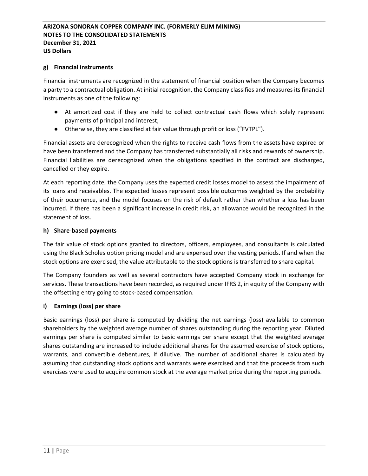#### **g) Financial instruments**

Financial instruments are recognized in the statement of financial position when the Company becomes a party to a contractual obligation. At initial recognition, the Company classifies and measures its financial instruments as one of the following:

- At amortized cost if they are held to collect contractual cash flows which solely represent payments of principal and interest;
- Otherwise, they are classified at fair value through profit or loss ("FVTPL").

Financial assets are derecognized when the rights to receive cash flows from the assets have expired or have been transferred and the Company has transferred substantially all risks and rewards of ownership. Financial liabilities are derecognized when the obligations specified in the contract are discharged, cancelled or they expire.

At each reporting date, the Company uses the expected credit losses model to assess the impairment of its loans and receivables. The expected losses represent possible outcomes weighted by the probability of their occurrence, and the model focuses on the risk of default rather than whether a loss has been incurred. If there has been a significant increase in credit risk, an allowance would be recognized in the statement of loss.

#### **h) Share-based payments**

The fair value of stock options granted to directors, officers, employees, and consultants is calculated using the Black Scholes option pricing model and are expensed over the vesting periods. If and when the stock options are exercised, the value attributable to the stock options is transferred to share capital.

The Company founders as well as several contractors have accepted Company stock in exchange for services. These transactions have been recorded, as required under IFRS 2, in equity of the Company with the offsetting entry going to stock-based compensation.

### **i) Earnings (loss) per share**

Basic earnings (loss) per share is computed by dividing the net earnings (loss) available to common shareholders by the weighted average number of shares outstanding during the reporting year. Diluted earnings per share is computed similar to basic earnings per share except that the weighted average shares outstanding are increased to include additional shares for the assumed exercise of stock options, warrants, and convertible debentures, if dilutive. The number of additional shares is calculated by assuming that outstanding stock options and warrants were exercised and that the proceeds from such exercises were used to acquire common stock at the average market price during the reporting periods.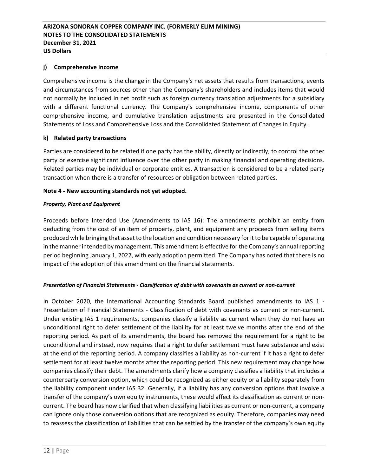#### **j) Comprehensive income**

Comprehensive income is the change in the Company's net assets that results from transactions, events and circumstances from sources other than the Company's shareholders and includes items that would not normally be included in net profit such as foreign currency translation adjustments for a subsidiary with a different functional currency. The Company's comprehensive income, components of other comprehensive income, and cumulative translation adjustments are presented in the Consolidated Statements of Loss and Comprehensive Loss and the Consolidated Statement of Changes in Equity.

#### **k) Related party transactions**

Parties are considered to be related if one party has the ability, directly or indirectly, to control the other party or exercise significant influence over the other party in making financial and operating decisions. Related parties may be individual or corporate entities. A transaction is considered to be a related party transaction when there is a transfer of resources or obligation between related parties.

#### **Note 4 - New accounting standards not yet adopted.**

#### *Property, Plant and Equipment*

Proceeds before Intended Use (Amendments to IAS 16): The amendments prohibit an entity from deducting from the cost of an item of property, plant, and equipment any proceeds from selling items produced while bringing that asset to the location and condition necessary for it to be capable of operating in the manner intended by management. This amendment is effective for the Company's annual reporting period beginning January 1, 2022, with early adoption permitted. The Company has noted that there is no impact of the adoption of this amendment on the financial statements.

#### *Presentation of Financial Statements - Classification of debt with covenants as current or non-current*

In October 2020, the International Accounting Standards Board published amendments to IAS 1 - Presentation of Financial Statements - Classification of debt with covenants as current or non-current. Under existing IAS 1 requirements, companies classify a liability as current when they do not have an unconditional right to defer settlement of the liability for at least twelve months after the end of the reporting period. As part of its amendments, the board has removed the requirement for a right to be unconditional and instead, now requires that a right to defer settlement must have substance and exist at the end of the reporting period. A company classifies a liability as non-current if it has a right to defer settlement for at least twelve months after the reporting period. This new requirement may change how companies classify their debt. The amendments clarify how a company classifies a liability that includes a counterparty conversion option, which could be recognized as either equity or a liability separately from the liability component under IAS 32. Generally, if a liability has any conversion options that involve a transfer of the company's own equity instruments, these would affect its classification as current or noncurrent. The board has now clarified that when classifying liabilities as current or non-current, a company can ignore only those conversion options that are recognized as equity. Therefore, companies may need to reassess the classification of liabilities that can be settled by the transfer of the company's own equity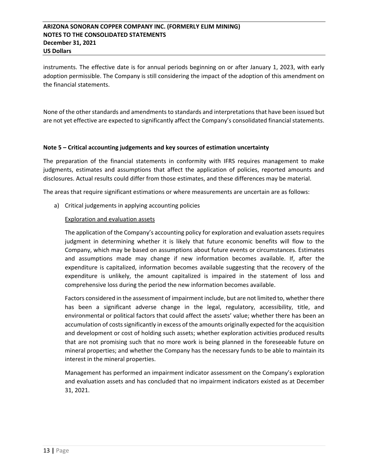instruments. The effective date is for annual periods beginning on or after January 1, 2023, with early adoption permissible. The Company is still considering the impact of the adoption of this amendment on the financial statements.

None of the other standards and amendments to standards and interpretations that have been issued but are not yet effective are expected to significantly affect the Company's consolidated financial statements.

### **Note 5 – Critical accounting judgements and key sources of estimation uncertainty**

The preparation of the financial statements in conformity with IFRS requires management to make judgments, estimates and assumptions that affect the application of policies, reported amounts and disclosures. Actual results could differ from those estimates, and these differences may be material.

The areas that require significant estimations or where measurements are uncertain are as follows:

a) Critical judgements in applying accounting policies

#### Exploration and evaluation assets

The application of the Company's accounting policy for exploration and evaluation assets requires judgment in determining whether it is likely that future economic benefits will flow to the Company, which may be based on assumptions about future events or circumstances. Estimates and assumptions made may change if new information becomes available. If, after the expenditure is capitalized, information becomes available suggesting that the recovery of the expenditure is unlikely, the amount capitalized is impaired in the statement of loss and comprehensive loss during the period the new information becomes available.

Factors considered in the assessment of impairment include, but are not limited to, whether there has been a significant adverse change in the legal, regulatory, accessibility, title, and environmental or political factors that could affect the assets' value; whether there has been an accumulation of costs significantly in excess of the amounts originally expected for the acquisition and development or cost of holding such assets; whether exploration activities produced results that are not promising such that no more work is being planned in the foreseeable future on mineral properties; and whether the Company has the necessary funds to be able to maintain its interest in the mineral properties.

Management has performed an impairment indicator assessment on the Company's exploration and evaluation assets and has concluded that no impairment indicators existed as at December 31, 2021.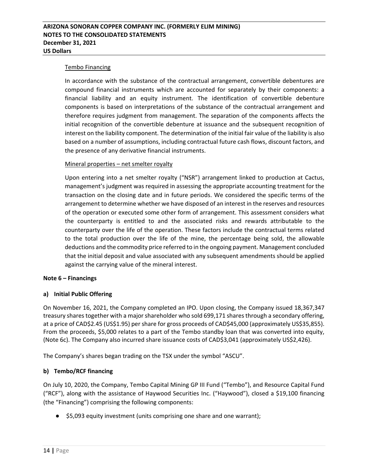#### Tembo Financing

In accordance with the substance of the contractual arrangement, convertible debentures are compound financial instruments which are accounted for separately by their components: a financial liability and an equity instrument. The identification of convertible debenture components is based on interpretations of the substance of the contractual arrangement and therefore requires judgment from management. The separation of the components affects the initial recognition of the convertible debenture at issuance and the subsequent recognition of interest on the liability component. The determination of the initial fair value of the liability is also based on a number of assumptions, including contractual future cash flows, discount factors, and the presence of any derivative financial instruments.

#### Mineral properties – net smelter royalty

Upon entering into a net smelter royalty ("NSR") arrangement linked to production at Cactus, management's judgment was required in assessing the appropriate accounting treatment for the transaction on the closing date and in future periods. We considered the specific terms of the arrangement to determine whether we have disposed of an interest in the reserves and resources of the operation or executed some other form of arrangement. This assessment considers what the counterparty is entitled to and the associated risks and rewards attributable to the counterparty over the life of the operation. These factors include the contractual terms related to the total production over the life of the mine, the percentage being sold, the allowable deductions and the commodity price referred to in the ongoing payment. Management concluded that the initial deposit and value associated with any subsequent amendments should be applied against the carrying value of the mineral interest.

#### **Note 6 – Financings**

### **a) Initial Public Offering**

On November 16, 2021, the Company completed an IPO. Upon closing, the Company issued 18,367,347 treasury shares together with a major shareholder who sold 699,171 shares through a secondary offering, at a price of CAD\$2.45 (US\$1.95) per share for gross proceeds of CAD\$45,000 (approximately US\$35,855). From the proceeds, \$5,000 relates to a part of the Tembo standby loan that was converted into equity, (Note 6c). The Company also incurred share issuance costs of CAD\$3,041 (approximately US\$2,426).

The Company's shares began trading on the TSX under the symbol "ASCU".

### **b) Tembo/RCF financing**

On July 10, 2020, the Company, Tembo Capital Mining GP III Fund ("Tembo"), and Resource Capital Fund ("RCF"), along with the assistance of Haywood Securities Inc. ("Haywood"), closed a \$19,100 financing (the "Financing") comprising the following components:

● \$5,093 equity investment (units comprising one share and one warrant);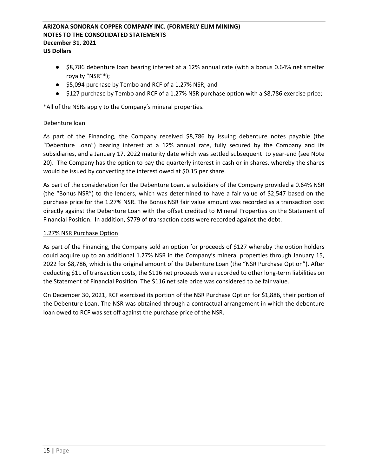- \$8,786 debenture loan bearing interest at a 12% annual rate (with a bonus 0.64% net smelter royalty "NSR"\*);
- \$5,094 purchase by Tembo and RCF of a 1.27% NSR; and
- \$127 purchase by Tembo and RCF of a 1.27% NSR purchase option with a \$8,786 exercise price;

\*All of the NSRs apply to the Company's mineral properties.

### Debenture loan

As part of the Financing, the Company received \$8,786 by issuing debenture notes payable (the "Debenture Loan") bearing interest at a 12% annual rate, fully secured by the Company and its subsidiaries, and a January 17, 2022 maturity date which was settled subsequent to year-end (see Note 20). The Company has the option to pay the quarterly interest in cash or in shares, whereby the shares would be issued by converting the interest owed at \$0.15 per share.

As part of the consideration for the Debenture Loan, a subsidiary of the Company provided a 0.64% NSR (the "Bonus NSR") to the lenders, which was determined to have a fair value of \$2,547 based on the purchase price for the 1.27% NSR. The Bonus NSR fair value amount was recorded as a transaction cost directly against the Debenture Loan with the offset credited to Mineral Properties on the Statement of Financial Position. In addition, \$779 of transaction costs were recorded against the debt.

#### 1.27% NSR Purchase Option

As part of the Financing, the Company sold an option for proceeds of \$127 whereby the option holders could acquire up to an additional 1.27% NSR in the Company's mineral properties through January 15, 2022 for \$8,786, which is the original amount of the Debenture Loan (the "NSR Purchase Option"). After deducting \$11 of transaction costs, the \$116 net proceeds were recorded to other long-term liabilities on the Statement of Financial Position. The \$116 net sale price was considered to be fair value.

On December 30, 2021, RCF exercised its portion of the NSR Purchase Option for \$1,886, their portion of the Debenture Loan. The NSR was obtained through a contractual arrangement in which the debenture loan owed to RCF was set off against the purchase price of the NSR.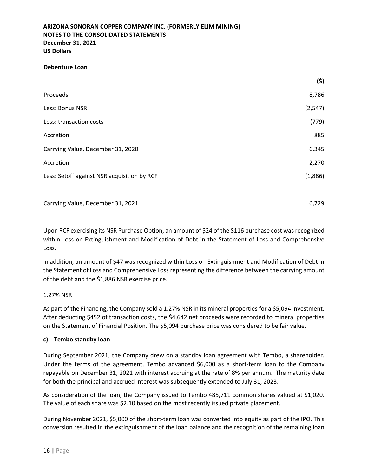#### **Debenture Loan**

|                                             | (\$)     |
|---------------------------------------------|----------|
| Proceeds                                    | 8,786    |
| Less: Bonus NSR                             | (2, 547) |
| Less: transaction costs                     | (779)    |
| Accretion                                   | 885      |
| Carrying Value, December 31, 2020           | 6,345    |
| Accretion                                   | 2,270    |
| Less: Setoff against NSR acquisition by RCF | (1,886)  |
| Carrying Value, December 31, 2021           | 6,729    |

Upon RCF exercising its NSR Purchase Option, an amount of \$24 of the \$116 purchase cost was recognized within Loss on Extinguishment and Modification of Debt in the Statement of Loss and Comprehensive Loss.

In addition, an amount of \$47 was recognized within Loss on Extinguishment and Modification of Debt in the Statement of Loss and Comprehensive Loss representing the difference between the carrying amount of the debt and the \$1,886 NSR exercise price.

#### 1.27% NSR

As part of the Financing, the Company sold a 1.27% NSR in its mineral properties for a \$5,094 investment. After deducting \$452 of transaction costs, the \$4,642 net proceeds were recorded to mineral properties on the Statement of Financial Position. The \$5,094 purchase price was considered to be fair value.

### **c) Tembo standby loan**

During September 2021, the Company drew on a standby loan agreement with Tembo, a shareholder. Under the terms of the agreement, Tembo advanced \$6,000 as a short-term loan to the Company repayable on December 31, 2021 with interest accruing at the rate of 8% per annum. The maturity date for both the principal and accrued interest was subsequently extended to July 31, 2023.

As consideration of the loan, the Company issued to Tembo 485,711 common shares valued at \$1,020. The value of each share was \$2.10 based on the most recently issued private placement.

During November 2021, \$5,000 of the short-term loan was converted into equity as part of the IPO. This conversion resulted in the extinguishment of the loan balance and the recognition of the remaining loan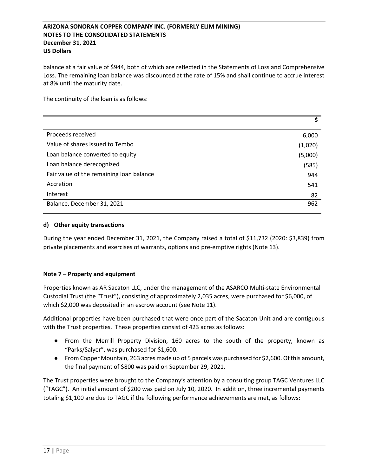balance at a fair value of \$944, both of which are reflected in the Statements of Loss and Comprehensive Loss. The remaining loan balance was discounted at the rate of 15% and shall continue to accrue interest at 8% until the maturity date.

The continuity of the loan is as follows:

|                                          | \$      |
|------------------------------------------|---------|
| Proceeds received                        | 6,000   |
| Value of shares issued to Tembo          | (1,020) |
| Loan balance converted to equity         | (5,000) |
| Loan balance derecognized                | (585)   |
| Fair value of the remaining loan balance | 944     |
| Accretion                                | 541     |
| Interest                                 | 82      |
| Balance, December 31, 2021               | 962     |

### **d) Other equity transactions**

During the year ended December 31, 2021, the Company raised a total of \$11,732 (2020: \$3,839) from private placements and exercises of warrants, options and pre-emptive rights (Note 13).

### **Note 7 – Property and equipment**

Properties known as AR Sacaton LLC, under the management of the ASARCO Multi-state Environmental Custodial Trust (the "Trust"), consisting of approximately 2,035 acres, were purchased for \$6,000, of which \$2,000 was deposited in an escrow account (see Note 11).

Additional properties have been purchased that were once part of the Sacaton Unit and are contiguous with the Trust properties. These properties consist of 423 acres as follows:

- From the Merrill Property Division, 160 acres to the south of the property, known as "Parks/Salyer", was purchased for \$1,600.
- From Copper Mountain, 263 acres made up of 5 parcels was purchased for \$2,600. Of this amount, the final payment of \$800 was paid on September 29, 2021.

The Trust properties were brought to the Company's attention by a consulting group TAGC Ventures LLC ("TAGC"). An initial amount of \$200 was paid on July 10, 2020. In addition, three incremental payments totaling \$1,100 are due to TAGC if the following performance achievements are met, as follows: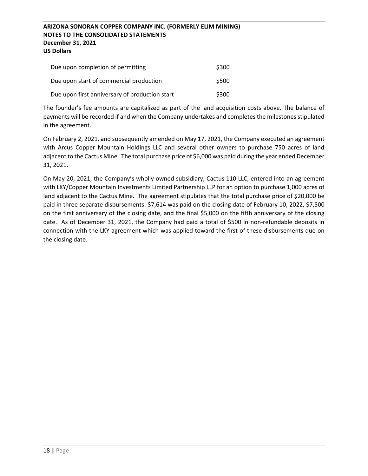# **ARIZONA SONORAN COPPER COMPANY INC. (FORMERLY ELIM MINING) NOTES TO THE CONSOLIDATED STATEMENTS December 31, 2021 US Dollars**

| Due upon completion of permitting              | \$300 |
|------------------------------------------------|-------|
| Due upon start of commercial production        | \$500 |
| Due upon first anniversary of production start | \$300 |

The founder's fee amounts are capitalized as part of the land acquisition costs above. The balance of payments will be recorded if and when the Company undertakes and completes the milestones stipulated in the agreement.

On February 2, 2021, and subsequently amended on May 17, 2021, the Company executed an agreement with Arcus Copper Mountain Holdings LLC and several other owners to purchase 750 acres of land adjacent to the Cactus Mine. The total purchase price of \$6,000 was paid during the year ended December 31, 2021.

On May 20, 2021, the Company's wholly owned subsidiary, Cactus 110 LLC, entered into an agreement with LKY/Copper Mountain Investments Limited Partnership LLP for an option to purchase 1,000 acres of land adjacent to the Cactus Mine. The agreement stipulates that the total purchase price of \$20,000 be paid in three separate disbursements: \$7,614 was paid on the closing date of February 10, 2022, \$7,500 on the first anniversary of the closing date, and the final \$5,000 on the fifth anniversary of the closing date. As of December 31, 2021, the Company had paid a total of \$500 in non-refundable deposits in connection with the LKY agreement which was applied toward the first of these disbursements due on the closing date.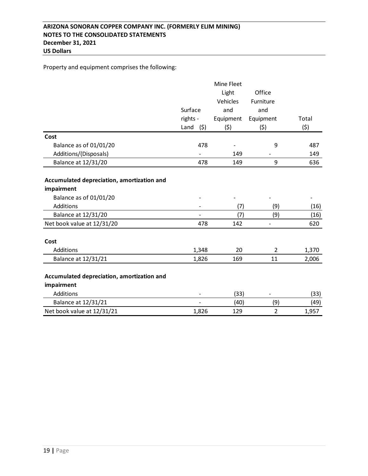Property and equipment comprises the following:

|                                            |             | Mine Fleet |                |       |
|--------------------------------------------|-------------|------------|----------------|-------|
|                                            |             | Light      | Office         |       |
|                                            |             | Vehicles   | Furniture      |       |
|                                            | Surface     | and        | and            |       |
|                                            | rights -    | Equipment  | Equipment      | Total |
|                                            | Land<br>(5) | (\$)       | (5)            | (5)   |
| Cost                                       |             |            |                |       |
| Balance as of 01/01/20                     | 478         |            | 9              | 487   |
| Additions/(Disposals)                      |             | 149        |                | 149   |
| Balance at 12/31/20                        | 478         | 149        | 9              | 636   |
|                                            |             |            |                |       |
| Accumulated depreciation, amortization and |             |            |                |       |
| impairment                                 |             |            |                |       |
| Balance as of 01/01/20                     |             |            |                |       |
| Additions                                  |             | (7)        | (9)            | (16)  |
| <b>Balance at 12/31/20</b>                 |             | (7)        | (9)            | (16)  |
| Net book value at 12/31/20                 | 478         | 142        | -              | 620   |
| Cost                                       |             |            |                |       |
| Additions                                  | 1,348       | 20         | $\overline{2}$ | 1,370 |
| <b>Balance at 12/31/21</b>                 | 1,826       | 169        | 11             | 2,006 |
| Accumulated depreciation, amortization and |             |            |                |       |
| impairment                                 |             |            |                |       |
| Additions                                  |             | (33)       |                | (33)  |
| <b>Balance at 12/31/21</b>                 |             | (40)       | (9)            | (49)  |
| Net book value at 12/31/21                 | 1,826       | 129        | $\overline{2}$ | 1,957 |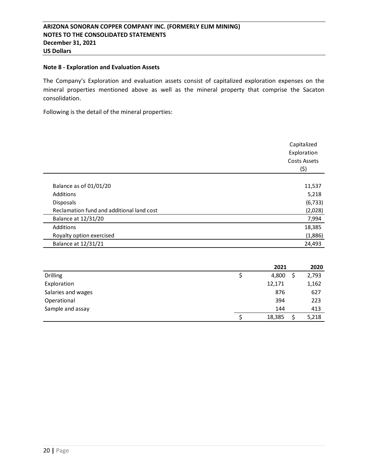#### **Note 8 - Exploration and Evaluation Assets**

The Company's Exploration and evaluation assets consist of capitalized exploration expenses on the mineral properties mentioned above as well as the mineral property that comprise the Sacaton consolidation.

Following is the detail of the mineral properties:

|                                           | Capitalized<br>Exploration<br><b>Costs Assets</b><br>(5) |
|-------------------------------------------|----------------------------------------------------------|
|                                           |                                                          |
| Balance as of 01/01/20                    | 11,537                                                   |
| Additions                                 | 5,218                                                    |
| <b>Disposals</b>                          | (6, 733)                                                 |
| Reclamation fund and additional land cost | (2,028)                                                  |
| Balance at 12/31/20                       | 7,994                                                    |
| Additions                                 | 18,385                                                   |
| Royalty option exercised                  | (1,886)                                                  |
| Balance at 12/31/21                       | 24,493                                                   |

|                    | 2021   |   | 2020  |
|--------------------|--------|---|-------|
| <b>Drilling</b>    | 4,800  |   | 2,793 |
| Exploration        | 12,171 |   | 1,162 |
| Salaries and wages | 876    |   | 627   |
| Operational        | 394    |   | 223   |
| Sample and assay   | 144    |   | 413   |
|                    | 18,385 | ¢ | 5,218 |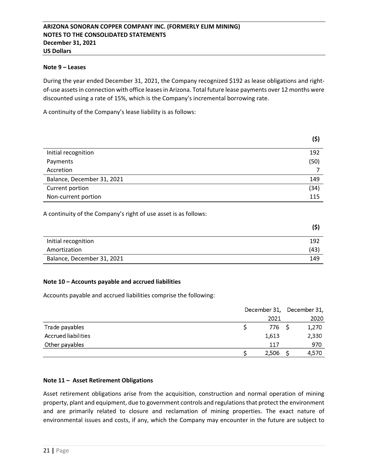#### **Note 9 – Leases**

During the year ended December 31, 2021, the Company recognized \$192 as lease obligations and rightof-use assets in connection with office leases in Arizona. Total future lease payments over 12 months were discounted using a rate of 15%, which is the Company's incremental borrowing rate.

A continuity of the Company's lease liability is as follows:

|                            | (\$) |
|----------------------------|------|
| Initial recognition        | 192  |
| Payments                   | (50) |
| Accretion                  |      |
| Balance, December 31, 2021 | 149  |
| Current portion            | (34) |
| Non-current portion        | 115  |

A continuity of the Company's right of use asset is as follows:

|                            | (5)  |
|----------------------------|------|
| Initial recognition        | 192  |
| Amortization               | (43) |
| Balance, December 31, 2021 | 149  |

#### **Note 10 – Accounts payable and accrued liabilities**

Accounts payable and accrued liabilities comprise the following:

|                     |       |  | December 31, December 31, |  |
|---------------------|-------|--|---------------------------|--|
|                     | 2021  |  | 2020                      |  |
| Trade payables      | 776 S |  | 1,270                     |  |
| Accrued liabilities | 1,613 |  | 2,330                     |  |
| Other payables      | 117   |  | 970                       |  |
|                     | 2,506 |  | 4,570                     |  |

#### **Note 11 – Asset Retirement Obligations**

Asset retirement obligations arise from the acquisition, construction and normal operation of mining property, plant and equipment, due to government controls and regulations that protect the environment and are primarily related to closure and reclamation of mining properties. The exact nature of environmental issues and costs, if any, which the Company may encounter in the future are subject to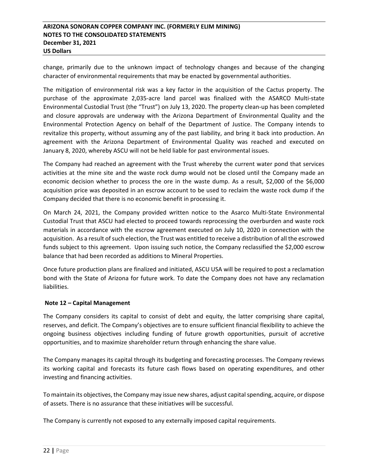change, primarily due to the unknown impact of technology changes and because of the changing character of environmental requirements that may be enacted by governmental authorities.

The mitigation of environmental risk was a key factor in the acquisition of the Cactus property. The purchase of the approximate 2,035-acre land parcel was finalized with the ASARCO Multi-state Environmental Custodial Trust (the "Trust") on July 13, 2020. The property clean-up has been completed and closure approvals are underway with the Arizona Department of Environmental Quality and the Environmental Protection Agency on behalf of the Department of Justice. The Company intends to revitalize this property, without assuming any of the past liability, and bring it back into production. An agreement with the Arizona Department of Environmental Quality was reached and executed on January 8, 2020, whereby ASCU will not be held liable for past environmental issues.

The Company had reached an agreement with the Trust whereby the current water pond that services activities at the mine site and the waste rock dump would not be closed until the Company made an economic decision whether to process the ore in the waste dump. As a result, \$2,000 of the \$6,000 acquisition price was deposited in an escrow account to be used to reclaim the waste rock dump if the Company decided that there is no economic benefit in processing it.

On March 24, 2021, the Company provided written notice to the Asarco Multi-State Environmental Custodial Trust that ASCU had elected to proceed towards reprocessing the overburden and waste rock materials in accordance with the escrow agreement executed on July 10, 2020 in connection with the acquisition. As a result of such election, the Trust was entitled to receive a distribution of all the escrowed funds subject to this agreement. Upon issuing such notice, the Company reclassified the \$2,000 escrow balance that had been recorded as additions to Mineral Properties.

Once future production plans are finalized and initiated, ASCU USA will be required to post a reclamation bond with the State of Arizona for future work. To date the Company does not have any reclamation liabilities.

### **Note 12 – Capital Management**

The Company considers its capital to consist of debt and equity, the latter comprising share capital, reserves, and deficit. The Company's objectives are to ensure sufficient financial flexibility to achieve the ongoing business objectives including funding of future growth opportunities, pursuit of accretive opportunities, and to maximize shareholder return through enhancing the share value.

The Company manages its capital through its budgeting and forecasting processes. The Company reviews its working capital and forecasts its future cash flows based on operating expenditures, and other investing and financing activities.

To maintain its objectives, the Company may issue new shares, adjust capital spending, acquire, or dispose of assets. There is no assurance that these initiatives will be successful.

The Company is currently not exposed to any externally imposed capital requirements.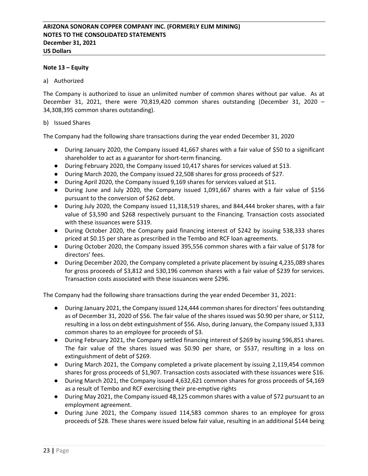#### **Note 13 – Equity**

a) Authorized

The Company is authorized to issue an unlimited number of common shares without par value. As at December 31, 2021, there were 70,819,420 common shares outstanding (December 31, 2020 – 34,308,395 common shares outstanding).

#### b) Issued Shares

The Company had the following share transactions during the year ended December 31, 2020

- During January 2020, the Company issued 41,667 shares with a fair value of \$50 to a significant shareholder to act as a guarantor for short-term financing.
- During February 2020, the Company issued 10,417 shares for services valued at \$13.
- During March 2020, the Company issued 22,508 shares for gross proceeds of \$27.
- During April 2020, the Company issued 9,169 shares for services valued at \$11.
- During June and July 2020, the Company issued 1,091,667 shares with a fair value of \$156 pursuant to the conversion of \$262 debt.
- During July 2020, the Company issued 11,318,519 shares, and 844,444 broker shares, with a fair value of \$3,590 and \$268 respectively pursuant to the Financing. Transaction costs associated with these issuances were \$319.
- During October 2020, the Company paid financing interest of \$242 by issuing 538,333 shares priced at \$0.15 per share as prescribed in the Tembo and RCF loan agreements.
- During October 2020, the Company issued 395,556 common shares with a fair value of \$178 for directors' fees.
- During December 2020, the Company completed a private placement by issuing 4,235,089 shares for gross proceeds of \$3,812 and 530,196 common shares with a fair value of \$239 for services. Transaction costs associated with these issuances were \$296.

The Company had the following share transactions during the year ended December 31, 2021:

- During January 2021, the Company issued 124,444 common shares for directors' fees outstanding as of December 31, 2020 of \$56. The fair value of the shares issued was \$0.90 per share, or \$112, resulting in a loss on debt extinguishment of \$56. Also, during January, the Company issued 3,333 common shares to an employee for proceeds of \$3.
- During February 2021, the Company settled financing interest of \$269 by issuing 596,851 shares. The fair value of the shares issued was \$0.90 per share, or \$537, resulting in a loss on extinguishment of debt of \$269.
- During March 2021, the Company completed a private placement by issuing 2,119,454 common shares for gross proceeds of \$1,907. Transaction costs associated with these issuances were \$16.
- During March 2021, the Company issued 4,632,621 common shares for gross proceeds of \$4,169 as a result of Tembo and RCF exercising their pre-emptive rights
- During May 2021, the Company issued 48,125 common shares with a value of \$72 pursuant to an employment agreement.
- During June 2021, the Company issued 114,583 common shares to an employee for gross proceeds of \$28. These shares were issued below fair value, resulting in an additional \$144 being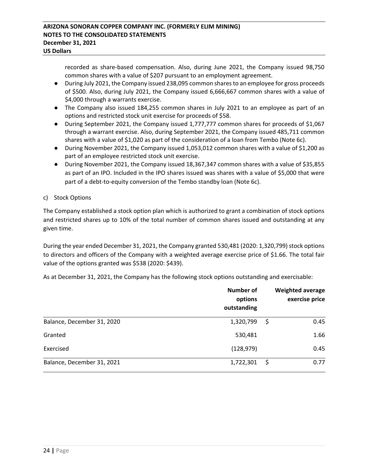recorded as share-based compensation. Also, during June 2021, the Company issued 98,750 common shares with a value of \$207 pursuant to an employment agreement.

- During July 2021, the Company issued 238,095 common shares to an employee for gross proceeds of \$500. Also, during July 2021, the Company issued 6,666,667 common shares with a value of \$4,000 through a warrants exercise.
- The Company also issued 184,255 common shares in July 2021 to an employee as part of an options and restricted stock unit exercise for proceeds of \$58.
- During September 2021, the Company issued 1,777,777 common shares for proceeds of \$1,067 through a warrant exercise. Also, during September 2021, the Company issued 485,711 common shares with a value of \$1,020 as part of the consideration of a loan from Tembo (Note 6c).
- During November 2021, the Company issued 1,053,012 common shares with a value of \$1,200 as part of an employee restricted stock unit exercise.
- During November 2021, the Company issued 18,367,347 common shares with a value of \$35,855 as part of an IPO. Included in the IPO shares issued was shares with a value of \$5,000 that were part of a debt-to-equity conversion of the Tembo standby loan (Note 6c).

# c) Stock Options

The Company established a stock option plan which is authorized to grant a combination of stock options and restricted shares up to 10% of the total number of common shares issued and outstanding at any given time.

During the year ended December 31, 2021, the Company granted 530,481 (2020: 1,320,799) stock options to directors and officers of the Company with a weighted average exercise price of \$1.66. The total fair value of the options granted was \$538 (2020: \$439).

As at December 31, 2021, the Company has the following stock options outstanding and exercisable:

|                            | <b>Number of</b><br>options<br>outstanding |   | <b>Weighted average</b><br>exercise price |
|----------------------------|--------------------------------------------|---|-------------------------------------------|
| Balance, December 31, 2020 | 1,320,799                                  | Ş | 0.45                                      |
| Granted                    | 530,481                                    |   | 1.66                                      |
| Exercised                  | (128, 979)                                 |   | 0.45                                      |
| Balance, December 31, 2021 | 1,722,301                                  | S | 0.77                                      |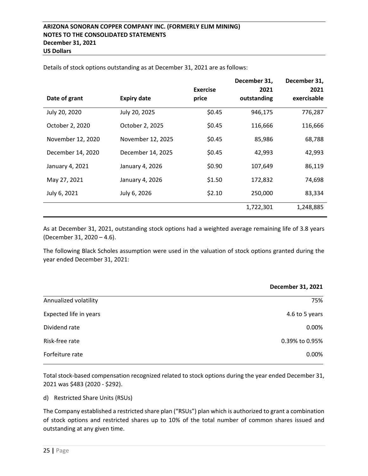|                   |                    |                 | December 31, | December 31, |
|-------------------|--------------------|-----------------|--------------|--------------|
|                   |                    | <b>Exercise</b> | 2021         | 2021         |
| Date of grant     | <b>Expiry date</b> | price           | outstanding  | exercisable  |
| July 20, 2020     | July 20, 2025      | \$0.45          | 946,175      | 776,287      |
| October 2, 2020   | October 2, 2025    | \$0.45          | 116,666      | 116,666      |
| November 12, 2020 | November 12, 2025  | \$0.45          | 85,986       | 68,788       |
| December 14, 2020 | December 14, 2025  | \$0.45          | 42,993       | 42,993       |
| January 4, 2021   | January 4, 2026    | \$0.90          | 107,649      | 86,119       |
| May 27, 2021      | January 4, 2026    | \$1.50          | 172,832      | 74,698       |
| July 6, 2021      | July 6, 2026       | \$2.10          | 250,000      | 83,334       |
|                   |                    |                 | 1,722,301    | 1,248,885    |

Details of stock options outstanding as at December 31, 2021 are as follows:

As at December 31, 2021, outstanding stock options had a weighted average remaining life of 3.8 years (December 31, 2020 – 4.6).

The following Black Scholes assumption were used in the valuation of stock options granted during the year ended December 31, 2021:

**December 31, 2021** 

| Annualized volatility  | 75%            |
|------------------------|----------------|
| Expected life in years | 4.6 to 5 years |
| Dividend rate          | 0.00%          |
| Risk-free rate         | 0.39% to 0.95% |
| Forfeiture rate        | 0.00%          |

Total stock-based compensation recognized related to stock options during the year ended December 31, 2021 was \$483 (2020 - \$292).

d) Restricted Share Units (RSUs)

The Company established a restricted share plan ("RSUs") plan which is authorized to grant a combination of stock options and restricted shares up to 10% of the total number of common shares issued and outstanding at any given time.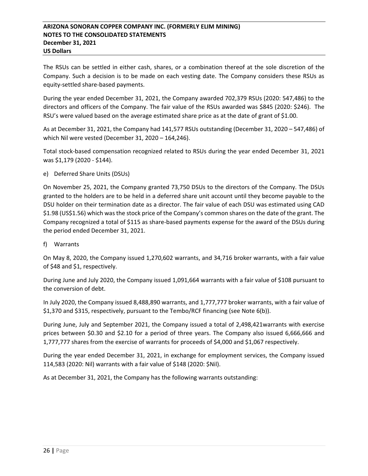The RSUs can be settled in either cash, shares, or a combination thereof at the sole discretion of the Company. Such a decision is to be made on each vesting date. The Company considers these RSUs as equity-settled share-based payments.

During the year ended December 31, 2021, the Company awarded 702,379 RSUs (2020: 547,486) to the directors and officers of the Company. The fair value of the RSUs awarded was \$845 (2020: \$246). The RSU's were valued based on the average estimated share price as at the date of grant of \$1.00.

As at December 31, 2021, the Company had 141,577 RSUs outstanding (December 31, 2020 – 547,486) of which Nil were vested (December 31, 2020 – 164,246).

Total stock-based compensation recognized related to RSUs during the year ended December 31, 2021 was \$1,179 (2020 - \$144).

e) Deferred Share Units (DSUs)

On November 25, 2021, the Company granted 73,750 DSUs to the directors of the Company. The DSUs granted to the holders are to be held in a deferred share unit account until they become payable to the DSU holder on their termination date as a director. The fair value of each DSU was estimated using CAD \$1.98 (US\$1.56) which was the stock price of the Company's common shares on the date of the grant. The Company recognized a total of \$115 as share-based payments expense for the award of the DSUs during the period ended December 31, 2021.

f) Warrants

On May 8, 2020, the Company issued 1,270,602 warrants, and 34,716 broker warrants, with a fair value of \$48 and \$1, respectively.

During June and July 2020, the Company issued 1,091,664 warrants with a fair value of \$108 pursuant to the conversion of debt.

In July 2020, the Company issued 8,488,890 warrants, and 1,777,777 broker warrants, with a fair value of \$1,370 and \$315, respectively, pursuant to the Tembo/RCF financing (see Note 6(b)).

During June, July and September 2021, the Company issued a total of 2,498,421warrants with exercise prices between \$0.30 and \$2.10 for a period of three years. The Company also issued 6,666,666 and 1,777,777 shares from the exercise of warrants for proceeds of \$4,000 and \$1,067 respectively.

During the year ended December 31, 2021, in exchange for employment services, the Company issued 114,583 (2020: Nil) warrants with a fair value of \$148 (2020: \$Nil).

As at December 31, 2021, the Company has the following warrants outstanding: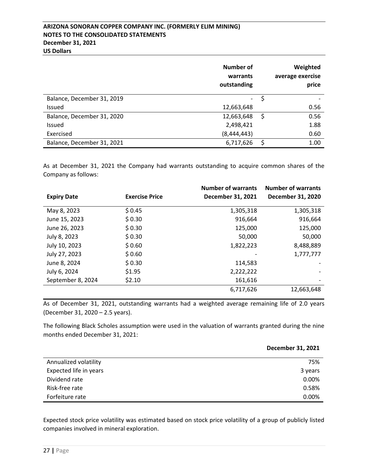# **ARIZONA SONORAN COPPER COMPANY INC. (FORMERLY ELIM MINING) NOTES TO THE CONSOLIDATED STATEMENTS December 31, 2021 US Dollars**

|                            | <b>Number of</b><br>warrants<br>outstanding | Weighted<br>average exercise<br>price |
|----------------------------|---------------------------------------------|---------------------------------------|
| Balance, December 31, 2019 | $\overline{\phantom{a}}$                    |                                       |
| <b>Issued</b>              | 12,663,648                                  | 0.56                                  |
| Balance, December 31, 2020 | 12,663,648                                  | \$<br>0.56                            |
| <b>Issued</b>              | 2,498,421                                   | 1.88                                  |
| Exercised                  | (8,444,443)                                 | 0.60                                  |
| Balance, December 31, 2021 | 6,717,626                                   | \$<br>1.00                            |

As at December 31, 2021 the Company had warrants outstanding to acquire common shares of the Company as follows:

| <b>Expiry Date</b> | <b>Exercise Price</b> | <b>Number of warrants</b><br>December 31, 2021 | <b>Number of warrants</b><br><b>December 31, 2020</b> |
|--------------------|-----------------------|------------------------------------------------|-------------------------------------------------------|
| May 8, 2023        | \$0.45                | 1,305,318                                      | 1,305,318                                             |
| June 15, 2023      | \$0.30                | 916,664                                        | 916,664                                               |
| June 26, 2023      | \$0.30                | 125,000                                        | 125,000                                               |
| July 8, 2023       | \$0.30                | 50,000                                         | 50,000                                                |
| July 10, 2023      | \$0.60                | 1,822,223                                      | 8,488,889                                             |
| July 27, 2023      | \$0.60                |                                                | 1,777,777                                             |
| June 8, 2024       | \$0.30                | 114,583                                        |                                                       |
| July 6, 2024       | \$1.95                | 2,222,222                                      |                                                       |
| September 8, 2024  | \$2.10                | 161,616                                        |                                                       |
|                    |                       | 6,717,626                                      | 12,663,648                                            |

As of December 31, 2021, outstanding warrants had a weighted average remaining life of 2.0 years (December 31, 2020 – 2.5 years).

The following Black Scholes assumption were used in the valuation of warrants granted during the nine months ended December 31, 2021:

#### **December 31, 2021**

| Annualized volatility  | 75%     |
|------------------------|---------|
| Expected life in years | 3 years |
| Dividend rate          | 0.00%   |
| Risk-free rate         | 0.58%   |
| Forfeiture rate        | 0.00%   |

Expected stock price volatility was estimated based on stock price volatility of a group of publicly listed companies involved in mineral exploration.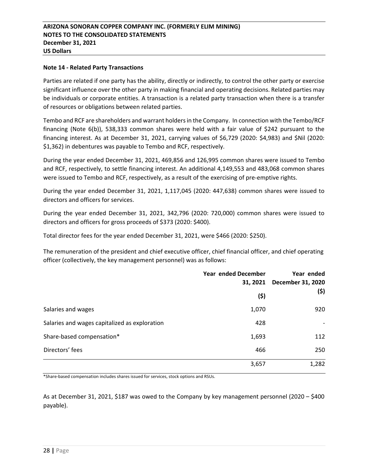#### **Note 14 - Related Party Transactions**

Parties are related if one party has the ability, directly or indirectly, to control the other party or exercise significant influence over the other party in making financial and operating decisions. Related parties may be individuals or corporate entities. A transaction is a related party transaction when there is a transfer of resources or obligations between related parties.

Tembo and RCF are shareholders and warrant holders in the Company. In connection with the Tembo/RCF financing (Note 6(b)), 538,333 common shares were held with a fair value of \$242 pursuant to the financing interest. As at December 31, 2021, carrying values of \$6,729 (2020: \$4,983) and \$Nil (2020: \$1,362) in debentures was payable to Tembo and RCF, respectively.

During the year ended December 31, 2021, 469,856 and 126,995 common shares were issued to Tembo and RCF, respectively, to settle financing interest. An additional 4,149,553 and 483,068 common shares were issued to Tembo and RCF, respectively, as a result of the exercising of pre-emptive rights.

During the year ended December 31, 2021, 1,117,045 (2020: 447,638) common shares were issued to directors and officers for services.

During the year ended December 31, 2021, 342,796 (2020: 720,000) common shares were issued to directors and officers for gross proceeds of \$373 (2020: \$400).

Total director fees for the year ended December 31, 2021, were \$466 (2020: \$250).

The remuneration of the president and chief executive officer, chief financial officer, and chief operating officer (collectively, the key management personnel) was as follows:

| Year ended December                           |       | Year ended<br>31, 2021 December 31, 2020 |
|-----------------------------------------------|-------|------------------------------------------|
|                                               | (\$)  | (5)                                      |
| Salaries and wages                            | 1,070 | 920                                      |
| Salaries and wages capitalized as exploration | 428   |                                          |
| Share-based compensation*                     | 1,693 | 112                                      |
| Directors' fees                               | 466   | 250                                      |
|                                               | 3,657 | 1,282                                    |

\*Share-based compensation includes shares issued for services, stock options and RSUs.

As at December 31, 2021, \$187 was owed to the Company by key management personnel (2020 – \$400 payable).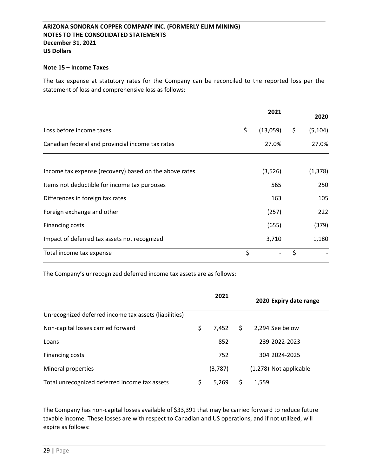#### **Note 15 – Income Taxes**

The tax expense at statutory rates for the Company can be reconciled to the reported loss per the statement of loss and comprehensive loss as follows:

|                                                        | 2021           | 2020           |
|--------------------------------------------------------|----------------|----------------|
| Loss before income taxes                               | \$<br>(13,059) | \$<br>(5, 104) |
| Canadian federal and provincial income tax rates       | 27.0%          | 27.0%          |
| Income tax expense (recovery) based on the above rates | (3,526)        | (1, 378)       |
| Items not deductible for income tax purposes           | 565            | 250            |
| Differences in foreign tax rates                       | 163            | 105            |
| Foreign exchange and other                             | (257)          | 222            |
| <b>Financing costs</b>                                 | (655)          | (379)          |
| Impact of deferred tax assets not recognized           | 3,710          | 1,180          |
| Total income tax expense                               | \$             | \$             |

The Company's unrecognized deferred income tax assets are as follows:

|                                                       |   | 2021    |      | 2020 Expiry date range |
|-------------------------------------------------------|---|---------|------|------------------------|
| Unrecognized deferred income tax assets (liabilities) |   |         |      |                        |
| Non-capital losses carried forward                    | Ś | 7.452   | - \$ | 2,294 See below        |
| Loans                                                 |   | 852     |      | 239 2022-2023          |
| <b>Financing costs</b>                                |   | 752     |      | 304 2024-2025          |
| Mineral properties                                    |   | (3,787) |      | (1,278) Not applicable |
| Total unrecognized deferred income tax assets         | S | 5.269   | S    | 1,559                  |

The Company has non-capital losses available of \$33,391 that may be carried forward to reduce future taxable income. These losses are with respect to Canadian and US operations, and if not utilized, will expire as follows: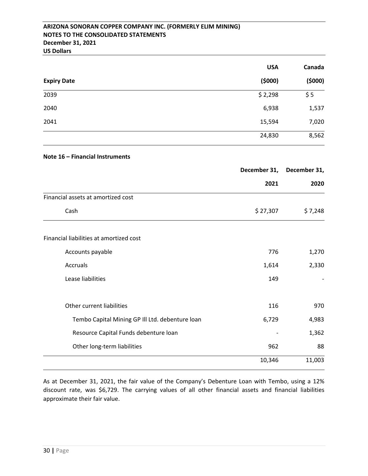# **ARIZONA SONORAN COPPER COMPANY INC. (FORMERLY ELIM MINING) NOTES TO THE CONSOLIDATED STATEMENTS December 31, 2021 US Dollars**

|                    | <b>USA</b> | Canada |  |
|--------------------|------------|--------|--|
| <b>Expiry Date</b> | (5000)     | (5000) |  |
| 2039               | \$2,298    | \$5    |  |
| 2040               | 6,938      | 1,537  |  |
| 2041               | 15,594     | 7,020  |  |
|                    | 24,830     | 8,562  |  |

# **Note 16 – Financial Instruments**

|                                                 | December 31, | December 31,<br>2020 |  |
|-------------------------------------------------|--------------|----------------------|--|
|                                                 | 2021         |                      |  |
| Financial assets at amortized cost              |              |                      |  |
| Cash                                            | \$27,307     | \$7,248              |  |
| Financial liabilities at amortized cost         |              |                      |  |
| Accounts payable                                | 776          | 1,270                |  |
| Accruals                                        | 1,614        | 2,330                |  |
| Lease liabilities                               | 149          |                      |  |
| Other current liabilities                       | 116          | 970                  |  |
| Tembo Capital Mining GP III Ltd. debenture loan | 6,729        | 4,983                |  |
| Resource Capital Funds debenture loan           |              | 1,362                |  |
| Other long-term liabilities                     | 962          | 88                   |  |
|                                                 | 10,346       | 11,003               |  |

As at December 31, 2021, the fair value of the Company's Debenture Loan with Tembo, using a 12% discount rate, was \$6,729. The carrying values of all other financial assets and financial liabilities approximate their fair value.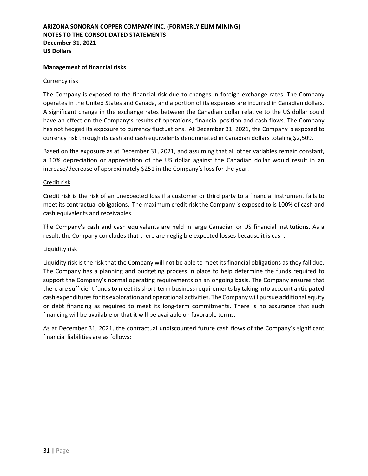#### **Management of financial risks**

#### Currency risk

The Company is exposed to the financial risk due to changes in foreign exchange rates. The Company operates in the United States and Canada, and a portion of its expenses are incurred in Canadian dollars. A significant change in the exchange rates between the Canadian dollar relative to the US dollar could have an effect on the Company's results of operations, financial position and cash flows. The Company has not hedged its exposure to currency fluctuations. At December 31, 2021, the Company is exposed to currency risk through its cash and cash equivalents denominated in Canadian dollars totaling \$2,509.

Based on the exposure as at December 31, 2021, and assuming that all other variables remain constant, a 10% depreciation or appreciation of the US dollar against the Canadian dollar would result in an increase/decrease of approximately \$251 in the Company's loss for the year.

#### Credit risk

Credit risk is the risk of an unexpected loss if a customer or third party to a financial instrument fails to meet its contractual obligations. The maximum credit risk the Company is exposed to is 100% of cash and cash equivalents and receivables.

The Company's cash and cash equivalents are held in large Canadian or US financial institutions. As a result, the Company concludes that there are negligible expected losses because it is cash.

#### Liquidity risk

Liquidity risk is the risk that the Company will not be able to meet its financial obligations as they fall due. The Company has a planning and budgeting process in place to help determine the funds required to support the Company's normal operating requirements on an ongoing basis. The Company ensures that there are sufficient funds to meet its short-term business requirements by taking into account anticipated cash expenditures for its exploration and operational activities. The Company will pursue additional equity or debt financing as required to meet its long-term commitments. There is no assurance that such financing will be available or that it will be available on favorable terms.

As at December 31, 2021, the contractual undiscounted future cash flows of the Company's significant financial liabilities are as follows: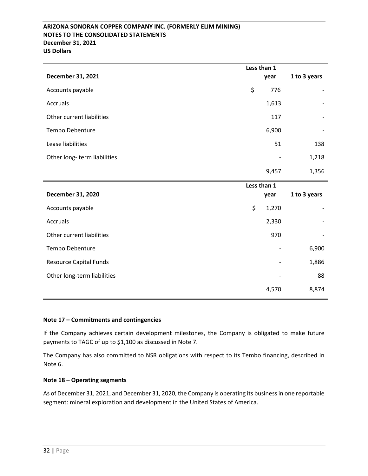# **ARIZONA SONORAN COPPER COMPANY INC. (FORMERLY ELIM MINING) NOTES TO THE CONSOLIDATED STATEMENTS December 31, 2021 US Dollars**

|                             | Less than 1 |              |
|-----------------------------|-------------|--------------|
| December 31, 2021           | year        | 1 to 3 years |
| Accounts payable            | \$<br>776   |              |
| Accruals                    | 1,613       |              |
| Other current liabilities   | 117         |              |
| Tembo Debenture             | 6,900       |              |
| Lease liabilities           | 51          | 138          |
| Other long-term liabilities |             | 1,218        |
|                             | 9,457       | 1,356        |

|                               | Less than 1 |              |
|-------------------------------|-------------|--------------|
| December 31, 2020             | year        | 1 to 3 years |
| Accounts payable              | \$<br>1,270 |              |
| Accruals                      | 2,330       |              |
| Other current liabilities     | 970         |              |
| Tembo Debenture               |             | 6,900        |
| <b>Resource Capital Funds</b> | -           | 1,886        |
| Other long-term liabilities   |             | 88           |
|                               | 4,570       | 8,874        |

### **Note 17 – Commitments and contingencies**

If the Company achieves certain development milestones, the Company is obligated to make future payments to TAGC of up to \$1,100 as discussed in Note 7.

The Company has also committed to NSR obligations with respect to its Tembo financing, described in Note 6.

#### **Note 18 – Operating segments**

As of December 31, 2021, and December 31, 2020, the Company is operating its business in one reportable segment: mineral exploration and development in the United States of America.